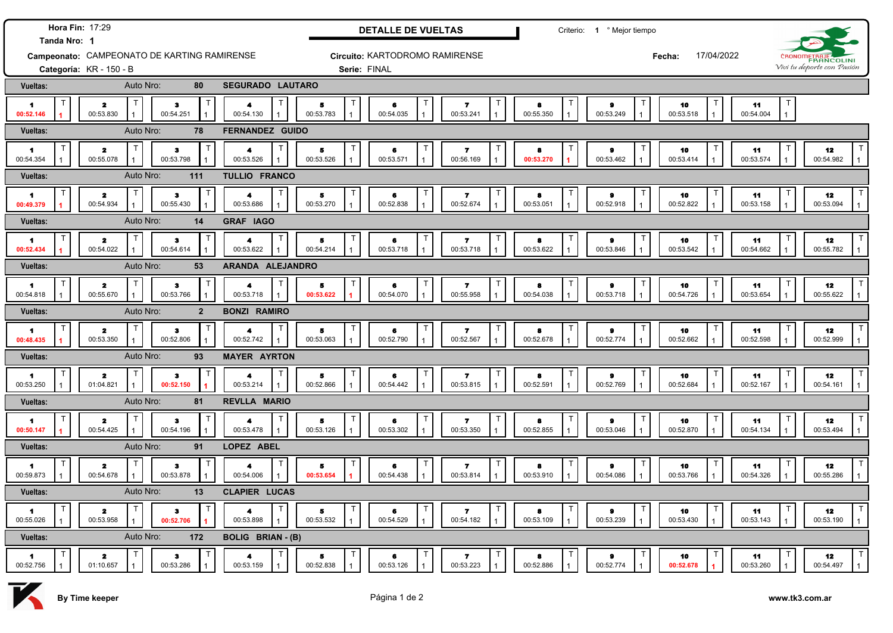| Hora Fin: 17:29<br>Tanda Nro: 1             |                                           |                        |                |                                        |                                      | <b>DETALLE DE VUELTAS</b>      |                                                             |                | Criterio: 1 º Mejor tiempo  |                      |                                 |                                                   |  |
|---------------------------------------------|-------------------------------------------|------------------------|----------------|----------------------------------------|--------------------------------------|--------------------------------|-------------------------------------------------------------|----------------|-----------------------------|----------------------|---------------------------------|---------------------------------------------------|--|
| Campeonato: CAMPEONATO DE KARTING RAMIRENSE |                                           |                        |                |                                        | Circuito: KARTODROMO RAMIRENSE       |                                |                                                             |                |                             | 17/04/2022<br>Fecha: |                                 | CRONOMETRAJE                                      |  |
|                                             | Categoría: KR - 150 - B                   |                        |                |                                        | Serie: FINAL                         |                                |                                                             |                |                             |                      | Vivi tu deporte con Pasión      |                                                   |  |
| <b>Vueltas:</b>                             |                                           | Auto Nro:              | 80             | <b>SEGURADO LAUTARO</b>                |                                      |                                |                                                             |                |                             |                      |                                 |                                                   |  |
| $\blacksquare$<br>00:52.146                 | $\overline{\mathbf{z}}$<br>00:53.830      | з<br>00:54.251         |                | 4<br>00:54.130                         | $\ddot{\phantom{a}}$<br>00:53.783    | 6<br>00:54.035                 | т<br>$\mathbf{z}$<br>00:53.241                              | 8<br>00:55.350 | $\bullet$<br>00:53.249      | 10<br>00:53.518      | 11<br>00:54.004<br>$\mathbf{1}$ |                                                   |  |
| <b>Vueltas:</b>                             |                                           | Auto Nro:              | 78             | <b>FERNANDEZ GUIDO</b>                 |                                      |                                |                                                             |                |                             |                      |                                 |                                                   |  |
| 1<br>00:54.354                              | $\mathbf{z}$<br>00:55.078                 | $\bullet$<br>00:53.798 |                | 4<br>00:53.526                         | 5<br>00:53.526                       | 6<br>00:53.571                 | т<br>$\overline{ }$<br>00:56.169                            | 8<br>00:53.270 | $\bullet$<br>00:53.462      | 10<br>00:53.414      | -11<br>00:53.574                | 12<br>00:54.982                                   |  |
| Vueltas:                                    |                                           | Auto Nro:<br>111       |                | <b>TULLIO FRANCO</b>                   |                                      |                                |                                                             |                |                             |                      |                                 |                                                   |  |
| $\blacksquare$<br>00:49.379                 | T<br>$\mathbf{z}$<br>00:54.934            | $\bullet$<br>00:55.430 |                | т<br>$\blacktriangleleft$<br>00:53.686 | 5<br>00:53.270                       | 6<br>00:52.838                 | T<br>$\mathbf{7}$<br>00:52.674                              | 8<br>00:53.051 | $\bullet$<br>00:52.918      | 10<br>00:52.822      | 11<br>00:53.158                 | 12<br>00:53.094                                   |  |
| Vueltas:                                    |                                           | Auto Nro:              | 14             | <b>GRAF IAGO</b>                       |                                      |                                |                                                             |                |                             |                      |                                 |                                                   |  |
| $\blacksquare$<br>00:52.434                 | т<br>$\mathbf{z}$<br>00:54.022            | $\bullet$<br>00:54.614 |                | 4<br>00:53.622                         | 5<br>00:54.214                       | 6<br>00:53.718                 | Т<br>$\overline{\mathbf{z}}$<br>00:53.718<br>$\overline{1}$ | 8<br>00:53.622 | $\bullet$<br>00:53.846      | 10<br>00:53.542      | 11<br>00:54.662<br>$\mathbf{1}$ | 12<br>00:55.782<br>$\overline{1}$                 |  |
| Vueltas:                                    |                                           | Auto Nro:              | 53             | ARANDA ALEJANDRO                       |                                      |                                |                                                             |                |                             |                      |                                 |                                                   |  |
| 1<br>00:54.818                              | т<br>$\overline{\mathbf{z}}$<br>00:55.670 | $\bullet$<br>00:53.766 | $\mathbf 7$    | T<br>4<br>00:53.718                    | 5<br>00:53.622                       | 6<br>00:54.070                 | Τ<br>$\mathbf{z}$<br>00:55.958                              | 8<br>00:54.038 | 9<br>00:53.718              | 10<br>00:54.726      | 11<br>00:53.654<br>$\mathbf{1}$ | $\mathsf{T}$<br>12<br>00:55.622<br>$\overline{1}$ |  |
| <b>Vueltas:</b>                             |                                           | Auto Nro:              | $\overline{2}$ | <b>BONZI RAMIRO</b>                    |                                      |                                |                                                             |                |                             |                      |                                 |                                                   |  |
| 1<br>00:48.435                              | $\mathsf{T}$<br>$\mathbf{z}$<br>00:53.350 | з<br>00:52.806         | $\mathsf{T}$   | т<br>4<br>00:52.742                    | 5<br>00:53.063                       | $\mathsf{T}$<br>6<br>00:52.790 | $\top$<br>$\mathbf{z}$<br>00:52.567                         | 8<br>00:52.678 | $\bullet$<br>00:52.774      | 10<br>00:52.662      | Т<br>11<br>00:52.598            | $\mathsf{T}$<br>12<br>00:52.999                   |  |
| Vueltas:                                    |                                           | Auto Nro:              | 93             | <b>MAYER AYRTON</b>                    |                                      |                                |                                                             |                |                             |                      |                                 |                                                   |  |
| 1.<br>00:53.250                             | т<br>$\mathbf{z}$<br>01:04.821            | $\bf{3}$<br>00:52.150  |                | Т<br>00:53.214                         | $\overline{\mathbf{5}}$<br>00:52.866 | 6<br>00:54.442                 | T<br>$\overline{\mathbf{r}}$<br>00:53.815                   | 8<br>00:52.591 | $\bullet$<br>00:52.769      | 10<br>00:52.684      | 11<br>00:52.167                 | 12<br>00:54.161                                   |  |
| Vueltas:                                    |                                           | Auto Nro:              | 81             | REVLLA MARIO                           |                                      |                                |                                                             |                |                             |                      |                                 |                                                   |  |
| 1<br>00:50.147                              | $\overline{\mathbf{z}}$<br>00:54.425      | $\bullet$<br>00:54.196 |                | $\blacktriangle$<br>00:53.478          | 5<br>00:53.126                       | 6<br>00:53.302                 | T<br>$\overline{\mathbf{r}}$<br>00:53.350                   | 8<br>00:52.855 | $\bullet$<br>00:53.046      | 10<br>00:52.870      | -11<br>00:54.134                | $\top$<br>12<br>00:53.494<br>$\mathbf{1}$         |  |
| <b>Vueltas:</b>                             | Auto Nro:<br>91<br>LOPEZ ABEL             |                        |                |                                        |                                      |                                |                                                             |                |                             |                      |                                 |                                                   |  |
| $\blacktriangleleft$<br>00:59.873           | т<br>$\overline{\mathbf{2}}$<br>00:54.678 | з<br>00:53.878         |                | 4<br>00:54.006                         | 5<br>00:53.654                       | 6<br>00:54.438                 | Τ<br>$\overline{\mathbf{z}}$<br>00:53.814                   | 8<br>00:53.910 | Т<br>$\bullet$<br>00:54.086 | 10<br>00:53.766      | 11<br>00:54.326                 | 12<br>00:55.286                                   |  |
| Vueltas:                                    |                                           | Auto Nro:              | 13             | <b>CLAPIER LUCAS</b>                   |                                      |                                |                                                             |                |                             |                      |                                 |                                                   |  |
| 1<br>00:55.026                              | $\overline{\mathbf{z}}$<br>00:53.958      | $\bullet$<br>00:52.706 |                | Т<br>4<br>00:53.898                    | 5<br>00:53.532                       | 6<br>00:54.529                 | T<br>$\mathbf{z}$<br>00:54.182                              | 8<br>00:53.109 | $\bullet$<br>00:53.239      | 10<br>00:53.430      | 11<br>00:53.143                 | $\mathsf{T}$<br>12<br>00:53.190                   |  |
| Vueltas:                                    |                                           | Auto Nro:<br>172       |                | <b>BOLIG BRIAN - (B)</b>               |                                      |                                |                                                             |                |                             |                      |                                 |                                                   |  |
| 1<br>00:52.756                              | 2<br>01:10.657                            | з<br>00:53.286         |                | 4<br>00:53.159                         | 5<br>00:52.838                       | 6<br>00:53.126                 | Т<br>-7<br>00:53.223                                        | 8<br>00:52.886 | 9<br>00:52.774              | 10<br>00:52.678      | 11<br>00:53.260                 | 12<br>00:54.497                                   |  |